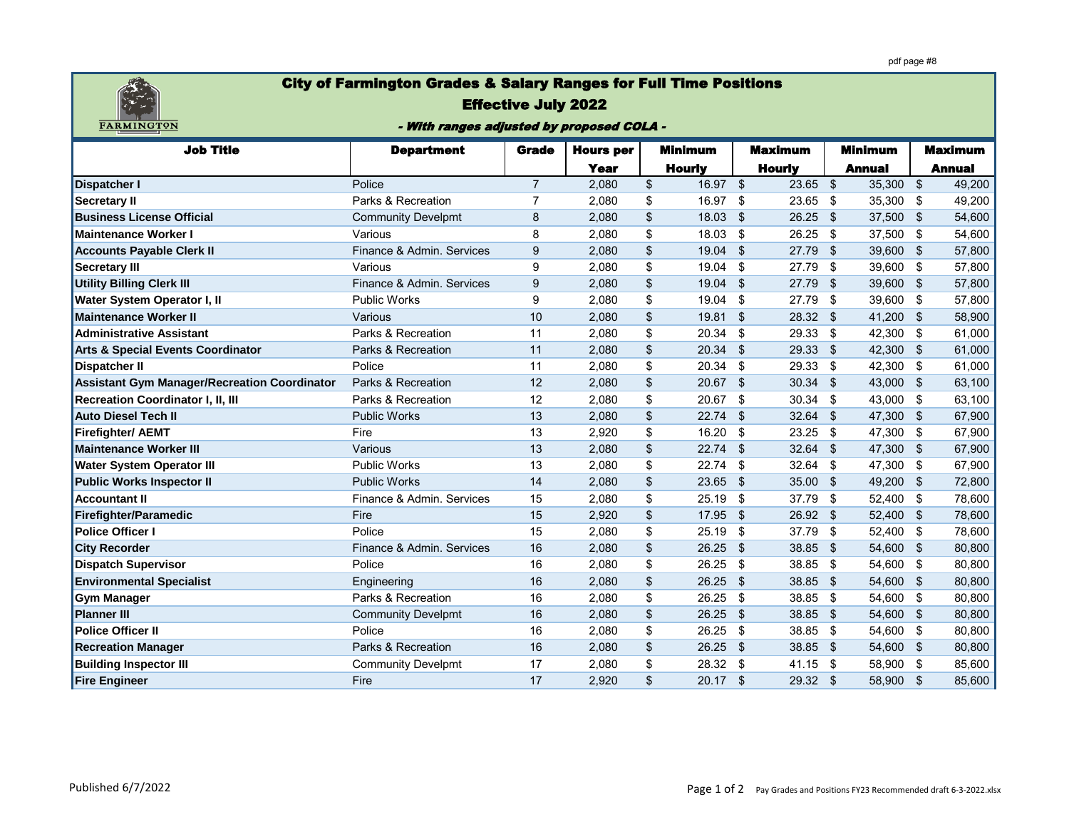

## City of Farmington Grades & Salary Ranges for Full Time Positions

### Effective July 2022

- With ranges adjusted by proposed COLA -

| <b>Job Title</b>                                    | <b>Department</b>         | <b>Grade</b>   | <b>Hours</b> per |                           | <b>Minimum</b> |                            | <b>Maximum</b> |                    | <b>Minimum</b> |      | <b>Maximum</b> |  |
|-----------------------------------------------------|---------------------------|----------------|------------------|---------------------------|----------------|----------------------------|----------------|--------------------|----------------|------|----------------|--|
|                                                     |                           |                | <b>Year</b>      |                           | <b>Hourly</b>  |                            | <b>Hourly</b>  |                    | <b>Annual</b>  |      | <b>Annual</b>  |  |
| <b>Dispatcher I</b>                                 | Police                    | $\overline{7}$ | 2,080            | $\boldsymbol{\mathsf{S}}$ | 16.97 \$       |                            | 23.65          | $\mathfrak{g}$     | 35,300 \$      |      | 49,200         |  |
| <b>Secretary II</b>                                 | Parks & Recreation        | 7              | 2,080            | \$                        | 16.97          | \$                         | 23.65          | -\$                | 35,300         | -\$  | 49,200         |  |
| <b>Business License Official</b>                    | <b>Community Develpmt</b> | 8              | 2,080            | $\boldsymbol{\mathsf{S}}$ | 18.03          | $\boldsymbol{\mathsf{S}}$  | 26.25          | - \$               | 37,500         | - \$ | 54,600         |  |
| <b>Maintenance Worker I</b>                         | Various                   | 8              | 2,080            | \$                        | 18.03          | \$                         | 26.25          | \$                 | 37,500         | -\$  | 54,600         |  |
| <b>Accounts Payable Clerk II</b>                    | Finance & Admin. Services | 9              | 2,080            | $\boldsymbol{\mathsf{S}}$ | 19.04          | $\mathfrak{F}$             | 27.79          | - \$               | 39,600 \$      |      | 57,800         |  |
| <b>Secretary III</b>                                | Various                   | 9              | 2,080            | \$                        | 19.04          | $\boldsymbol{\mathsf{\$}}$ | 27.79          | -\$                | 39,600         | -\$  | 57,800         |  |
| <b>Utility Billing Clerk III</b>                    | Finance & Admin. Services | 9              | 2,080            | $\mathsf{\$}$             | 19.04          | $\boldsymbol{\mathsf{S}}$  | 27.79          | -\$                | 39,600         | -\$  | 57,800         |  |
| Water System Operator I, II                         | <b>Public Works</b>       | 9              | 2,080            | \$                        | 19.04          | \$                         | 27.79          | -\$                | 39,600         | -\$  | 57,800         |  |
| <b>Maintenance Worker II</b>                        | Various                   | 10             | 2,080            | $\boldsymbol{\mathsf{S}}$ | 19.81          | $\sqrt[6]{\frac{1}{2}}$    | 28.32          | -\$                | 41,200         | -\$  | 58,900         |  |
| <b>Administrative Assistant</b>                     | Parks & Recreation        | 11             | 2,080            | \$                        | 20.34          | \$                         | 29.33          | -\$                | 42,300         | -\$  | 61,000         |  |
| <b>Arts &amp; Special Events Coordinator</b>        | Parks & Recreation        | 11             | 2,080            | $\mathsf{\$}$             | 20.34          | \$                         | 29.33          | -\$                | 42,300         | -\$  | 61,000         |  |
| Dispatcher II                                       | Police                    | 11             | 2,080            | \$                        | 20.34          | \$                         | 29.33          | -\$                | 42,300         | -\$  | 61,000         |  |
| <b>Assistant Gym Manager/Recreation Coordinator</b> | Parks & Recreation        | 12             | 2,080            | $\mathsf{\$}$             | 20.67          | $\mathfrak{F}$             | 30.34          | $\mathbf{\hat{s}}$ | 43,000         | -\$  | 63,100         |  |
| <b>Recreation Coordinator I, II, III</b>            | Parks & Recreation        | 12             | 2,080            | \$                        | 20.67          | \$                         | 30.34          | -\$                | 43,000 \$      |      | 63,100         |  |
| <b>Auto Diesel Tech II</b>                          | <b>Public Works</b>       | 13             | 2,080            | $\sqrt[6]{\frac{1}{2}}$   | 22.74          | $\boldsymbol{\mathsf{S}}$  | 32.64          | - \$               | 47,300         | -\$  | 67,900         |  |
| Firefighter/ AEMT                                   | Fire                      | 13             | 2,920            | \$                        | 16.20          | \$                         | 23.25          | -\$                | 47,300         | -\$  | 67,900         |  |
| <b>Maintenance Worker III</b>                       | Various                   | 13             | 2,080            | $\frac{1}{2}$             | 22.74          | $\frac{1}{2}$              | 32.64          | -\$                | 47,300         | -\$  | 67,900         |  |
| <b>Water System Operator III</b>                    | <b>Public Works</b>       | 13             | 2,080            | \$                        | 22.74          | \$                         | 32.64          | -\$                | 47,300         | -\$  | 67,900         |  |
| <b>Public Works Inspector II</b>                    | <b>Public Works</b>       | 14             | 2,080            | $\mathsf{\$}$             | 23.65          | $\frac{1}{2}$              | 35.00          | - \$               | 49,200         | -\$  | 72,800         |  |
| <b>Accountant II</b>                                | Finance & Admin. Services | 15             | 2,080            | \$                        | 25.19          | \$                         | 37.79          | -\$                | 52,400         | -\$  | 78,600         |  |
| Firefighter/Paramedic                               | Fire                      | 15             | 2,920            | $\frac{1}{2}$             | 17.95          | $\boldsymbol{\mathsf{S}}$  | 26.92          | - \$               | 52,400 \$      |      | 78,600         |  |
| <b>Police Officer I</b>                             | Police                    | 15             | 2,080            | \$                        | 25.19          | \$                         | 37.79          | -\$                | 52,400 \$      |      | 78,600         |  |
| <b>City Recorder</b>                                | Finance & Admin, Services | 16             | 2,080            | $\frac{1}{2}$             | 26.25          | \$                         | 38.85          | -\$                | 54,600 \$      |      | 80,800         |  |
| <b>Dispatch Supervisor</b>                          | Police                    | 16             | 2,080            | \$                        | 26.25          | \$                         | 38.85          | -\$                | 54,600         | -\$  | 80,800         |  |
| <b>Environmental Specialist</b>                     | Engineering               | 16             | 2,080            | $\frac{1}{2}$             | 26.25          | $\frac{1}{2}$              | 38.85          | \$                 | 54,600 \$      |      | 80,800         |  |
| <b>Gym Manager</b>                                  | Parks & Recreation        | 16             | 2,080            | $\boldsymbol{\mathsf{S}}$ | 26.25          | \$                         | 38.85          | -\$                | 54,600         | - \$ | 80,800         |  |
| <b>Planner III</b>                                  | <b>Community Develpmt</b> | 16             | 2,080            | $\frac{1}{2}$             | 26.25          | \$                         | 38.85          | $\sqrt[6]{3}$      | 54,600 \$      |      | 80,800         |  |
| <b>Police Officer II</b>                            | Police                    | 16             | 2,080            | \$                        | 26.25          | \$                         | 38.85          | -\$                | 54,600         | -\$  | 80,800         |  |
| <b>Recreation Manager</b>                           | Parks & Recreation        | 16             | 2,080            | $\frac{1}{2}$             | 26.25          | \$                         | 38.85          | \$                 | 54,600 \$      |      | 80,800         |  |
| <b>Building Inspector III</b>                       | <b>Community Develpmt</b> | 17             | 2,080            | \$                        | 28.32          | $\frac{1}{2}$              | 41.15          | - \$               | 58,900 \$      |      | 85,600         |  |
| <b>Fire Engineer</b>                                | Fire                      | 17             | 2,920            | $\sqrt[6]{\frac{1}{2}}$   | 20.17          | $\frac{3}{2}$              | $29.32$ \$     |                    | 58,900 \$      |      | 85,600         |  |